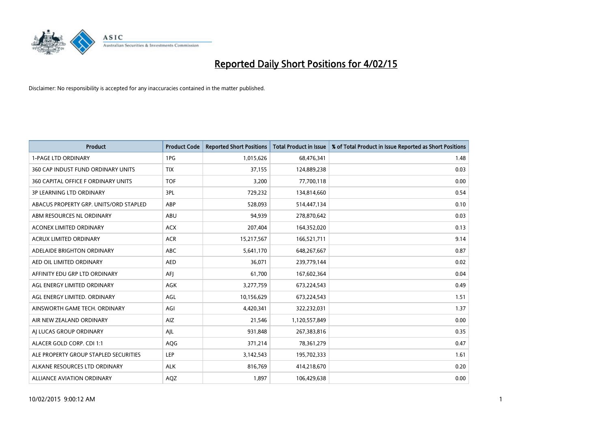

| <b>Product</b>                         | <b>Product Code</b> | <b>Reported Short Positions</b> | <b>Total Product in Issue</b> | % of Total Product in Issue Reported as Short Positions |
|----------------------------------------|---------------------|---------------------------------|-------------------------------|---------------------------------------------------------|
| <b>1-PAGE LTD ORDINARY</b>             | 1PG                 | 1,015,626                       | 68,476,341                    | 1.48                                                    |
| 360 CAP INDUST FUND ORDINARY UNITS     | <b>TIX</b>          | 37,155                          | 124,889,238                   | 0.03                                                    |
| 360 CAPITAL OFFICE F ORDINARY UNITS    | <b>TOF</b>          | 3,200                           | 77,700,118                    | 0.00                                                    |
| <b>3P LEARNING LTD ORDINARY</b>        | 3PL                 | 729,232                         | 134,814,660                   | 0.54                                                    |
| ABACUS PROPERTY GRP. UNITS/ORD STAPLED | ABP                 | 528,093                         | 514,447,134                   | 0.10                                                    |
| ABM RESOURCES NL ORDINARY              | ABU                 | 94,939                          | 278,870,642                   | 0.03                                                    |
| <b>ACONEX LIMITED ORDINARY</b>         | <b>ACX</b>          | 207,404                         | 164,352,020                   | 0.13                                                    |
| ACRUX LIMITED ORDINARY                 | <b>ACR</b>          | 15,217,567                      | 166,521,711                   | 9.14                                                    |
| ADELAIDE BRIGHTON ORDINARY             | <b>ABC</b>          | 5,641,170                       | 648,267,667                   | 0.87                                                    |
| AED OIL LIMITED ORDINARY               | <b>AED</b>          | 36,071                          | 239,779,144                   | 0.02                                                    |
| AFFINITY EDU GRP LTD ORDINARY          | AFI                 | 61,700                          | 167,602,364                   | 0.04                                                    |
| AGL ENERGY LIMITED ORDINARY            | AGK                 | 3,277,759                       | 673,224,543                   | 0.49                                                    |
| AGL ENERGY LIMITED. ORDINARY           | AGL                 | 10,156,629                      | 673,224,543                   | 1.51                                                    |
| AINSWORTH GAME TECH. ORDINARY          | AGI                 | 4,420,341                       | 322,232,031                   | 1.37                                                    |
| AIR NEW ZEALAND ORDINARY               | AIZ                 | 21,546                          | 1,120,557,849                 | 0.00                                                    |
| AI LUCAS GROUP ORDINARY                | AJL                 | 931,848                         | 267,383,816                   | 0.35                                                    |
| ALACER GOLD CORP. CDI 1:1              | AQG                 | 371,214                         | 78,361,279                    | 0.47                                                    |
| ALE PROPERTY GROUP STAPLED SECURITIES  | <b>LEP</b>          | 3,142,543                       | 195,702,333                   | 1.61                                                    |
| ALKANE RESOURCES LTD ORDINARY          | <b>ALK</b>          | 816,769                         | 414,218,670                   | 0.20                                                    |
| ALLIANCE AVIATION ORDINARY             | <b>AQZ</b>          | 1,897                           | 106,429,638                   | 0.00                                                    |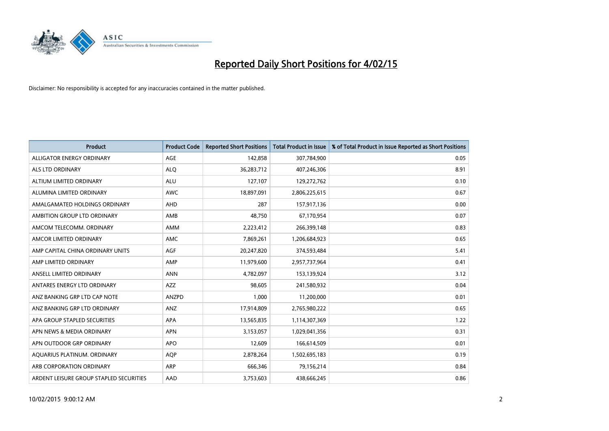

| <b>Product</b>                          | <b>Product Code</b> | <b>Reported Short Positions</b> | <b>Total Product in Issue</b> | % of Total Product in Issue Reported as Short Positions |
|-----------------------------------------|---------------------|---------------------------------|-------------------------------|---------------------------------------------------------|
| ALLIGATOR ENERGY ORDINARY               | AGE                 | 142,858                         | 307,784,900                   | 0.05                                                    |
| ALS LTD ORDINARY                        | <b>ALQ</b>          | 36,283,712                      | 407,246,306                   | 8.91                                                    |
| ALTIUM LIMITED ORDINARY                 | ALU                 | 127,107                         | 129,272,762                   | 0.10                                                    |
| ALUMINA LIMITED ORDINARY                | <b>AWC</b>          | 18,897,091                      | 2,806,225,615                 | 0.67                                                    |
| AMALGAMATED HOLDINGS ORDINARY           | AHD                 | 287                             | 157,917,136                   | 0.00                                                    |
| AMBITION GROUP LTD ORDINARY             | AMB                 | 48,750                          | 67,170,954                    | 0.07                                                    |
| AMCOM TELECOMM, ORDINARY                | AMM                 | 2,223,412                       | 266,399,148                   | 0.83                                                    |
| AMCOR LIMITED ORDINARY                  | AMC                 | 7,869,261                       | 1,206,684,923                 | 0.65                                                    |
| AMP CAPITAL CHINA ORDINARY UNITS        | AGF                 | 20,247,820                      | 374,593,484                   | 5.41                                                    |
| AMP LIMITED ORDINARY                    | AMP                 | 11,979,600                      | 2,957,737,964                 | 0.41                                                    |
| ANSELL LIMITED ORDINARY                 | <b>ANN</b>          | 4,782,097                       | 153,139,924                   | 3.12                                                    |
| ANTARES ENERGY LTD ORDINARY             | AZZ                 | 98,605                          | 241,580,932                   | 0.04                                                    |
| ANZ BANKING GRP LTD CAP NOTE            | <b>ANZPD</b>        | 1,000                           | 11,200,000                    | 0.01                                                    |
| ANZ BANKING GRP LTD ORDINARY            | ANZ                 | 17,914,809                      | 2,765,980,222                 | 0.65                                                    |
| APA GROUP STAPLED SECURITIES            | APA                 | 13,565,835                      | 1,114,307,369                 | 1.22                                                    |
| APN NEWS & MEDIA ORDINARY               | <b>APN</b>          | 3,153,057                       | 1,029,041,356                 | 0.31                                                    |
| APN OUTDOOR GRP ORDINARY                | <b>APO</b>          | 12,609                          | 166,614,509                   | 0.01                                                    |
| AQUARIUS PLATINUM. ORDINARY             | <b>AQP</b>          | 2,878,264                       | 1,502,695,183                 | 0.19                                                    |
| ARB CORPORATION ORDINARY                | ARP                 | 666,346                         | 79,156,214                    | 0.84                                                    |
| ARDENT LEISURE GROUP STAPLED SECURITIES | AAD                 | 3,753,603                       | 438,666,245                   | 0.86                                                    |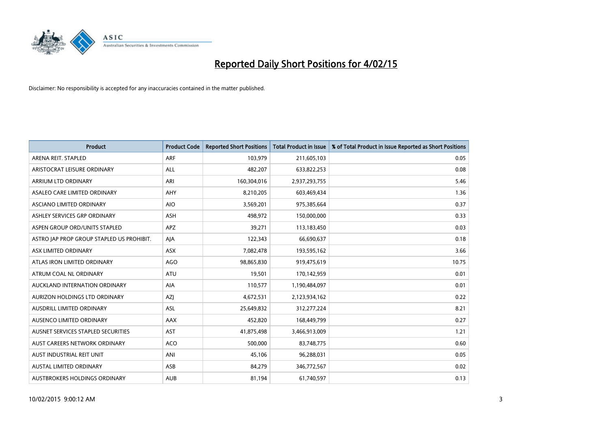

| <b>Product</b>                            | <b>Product Code</b> | <b>Reported Short Positions</b> | <b>Total Product in Issue</b> | % of Total Product in Issue Reported as Short Positions |
|-------------------------------------------|---------------------|---------------------------------|-------------------------------|---------------------------------------------------------|
| ARENA REIT. STAPLED                       | <b>ARF</b>          | 103,979                         | 211,605,103                   | 0.05                                                    |
| ARISTOCRAT LEISURE ORDINARY               | <b>ALL</b>          | 482,207                         | 633,822,253                   | 0.08                                                    |
| ARRIUM LTD ORDINARY                       | ARI                 | 160,304,016                     | 2,937,293,755                 | 5.46                                                    |
| ASALEO CARE LIMITED ORDINARY              | AHY                 | 8,210,205                       | 603,469,434                   | 1.36                                                    |
| <b>ASCIANO LIMITED ORDINARY</b>           | <b>AIO</b>          | 3,569,201                       | 975,385,664                   | 0.37                                                    |
| ASHLEY SERVICES GRP ORDINARY              | <b>ASH</b>          | 498,972                         | 150,000,000                   | 0.33                                                    |
| ASPEN GROUP ORD/UNITS STAPLED             | <b>APZ</b>          | 39,271                          | 113,183,450                   | 0.03                                                    |
| ASTRO JAP PROP GROUP STAPLED US PROHIBIT. | AJA                 | 122,343                         | 66,690,637                    | 0.18                                                    |
| ASX LIMITED ORDINARY                      | ASX                 | 7,082,478                       | 193,595,162                   | 3.66                                                    |
| ATLAS IRON LIMITED ORDINARY               | AGO                 | 98,865,830                      | 919,475,619                   | 10.75                                                   |
| ATRUM COAL NL ORDINARY                    | <b>ATU</b>          | 19,501                          | 170,142,959                   | 0.01                                                    |
| AUCKLAND INTERNATION ORDINARY             | AIA                 | 110,577                         | 1,190,484,097                 | 0.01                                                    |
| <b>AURIZON HOLDINGS LTD ORDINARY</b>      | AZJ                 | 4,672,531                       | 2,123,934,162                 | 0.22                                                    |
| <b>AUSDRILL LIMITED ORDINARY</b>          | <b>ASL</b>          | 25,649,832                      | 312,277,224                   | 8.21                                                    |
| AUSENCO LIMITED ORDINARY                  | AAX                 | 452,820                         | 168,449,799                   | 0.27                                                    |
| AUSNET SERVICES STAPLED SECURITIES        | <b>AST</b>          | 41,875,498                      | 3,466,913,009                 | 1.21                                                    |
| AUST CAREERS NETWORK ORDINARY             | <b>ACO</b>          | 500,000                         | 83,748,775                    | 0.60                                                    |
| AUST INDUSTRIAL REIT UNIT                 | ANI                 | 45,106                          | 96,288,031                    | 0.05                                                    |
| AUSTAL LIMITED ORDINARY                   | ASB                 | 84,279                          | 346,772,567                   | 0.02                                                    |
| AUSTBROKERS HOLDINGS ORDINARY             | <b>AUB</b>          | 81.194                          | 61,740,597                    | 0.13                                                    |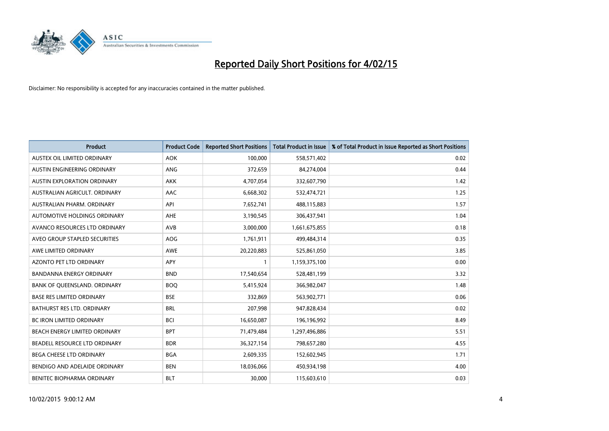

| <b>Product</b>                     | <b>Product Code</b> | <b>Reported Short Positions</b> | <b>Total Product in Issue</b> | % of Total Product in Issue Reported as Short Positions |
|------------------------------------|---------------------|---------------------------------|-------------------------------|---------------------------------------------------------|
| AUSTEX OIL LIMITED ORDINARY        | <b>AOK</b>          | 100,000                         | 558,571,402                   | 0.02                                                    |
| AUSTIN ENGINEERING ORDINARY        | ANG                 | 372,659                         | 84,274,004                    | 0.44                                                    |
| <b>AUSTIN EXPLORATION ORDINARY</b> | <b>AKK</b>          | 4,707,054                       | 332,607,790                   | 1.42                                                    |
| AUSTRALIAN AGRICULT. ORDINARY      | AAC                 | 6,668,302                       | 532,474,721                   | 1.25                                                    |
| AUSTRALIAN PHARM, ORDINARY         | API                 | 7,652,741                       | 488,115,883                   | 1.57                                                    |
| AUTOMOTIVE HOLDINGS ORDINARY       | AHE                 | 3,190,545                       | 306,437,941                   | 1.04                                                    |
| AVANCO RESOURCES LTD ORDINARY      | AVB                 | 3,000,000                       | 1,661,675,855                 | 0.18                                                    |
| AVEO GROUP STAPLED SECURITIES      | <b>AOG</b>          | 1,761,911                       | 499,484,314                   | 0.35                                                    |
| AWE LIMITED ORDINARY               | <b>AWE</b>          | 20,220,883                      | 525,861,050                   | 3.85                                                    |
| <b>AZONTO PET LTD ORDINARY</b>     | APY                 | $\mathbf{1}$                    | 1,159,375,100                 | 0.00                                                    |
| <b>BANDANNA ENERGY ORDINARY</b>    | <b>BND</b>          | 17,540,654                      | 528,481,199                   | 3.32                                                    |
| BANK OF QUEENSLAND. ORDINARY       | <b>BOQ</b>          | 5,415,924                       | 366,982,047                   | 1.48                                                    |
| <b>BASE RES LIMITED ORDINARY</b>   | <b>BSE</b>          | 332,869                         | 563,902,771                   | 0.06                                                    |
| <b>BATHURST RES LTD. ORDINARY</b>  | <b>BRL</b>          | 207,998                         | 947,828,434                   | 0.02                                                    |
| <b>BC IRON LIMITED ORDINARY</b>    | <b>BCI</b>          | 16,650,087                      | 196,196,992                   | 8.49                                                    |
| BEACH ENERGY LIMITED ORDINARY      | <b>BPT</b>          | 71,479,484                      | 1,297,496,886                 | 5.51                                                    |
| BEADELL RESOURCE LTD ORDINARY      | <b>BDR</b>          | 36,327,154                      | 798,657,280                   | 4.55                                                    |
| BEGA CHEESE LTD ORDINARY           | <b>BGA</b>          | 2,609,335                       | 152,602,945                   | 1.71                                                    |
| BENDIGO AND ADELAIDE ORDINARY      | <b>BEN</b>          | 18,036,066                      | 450,934,198                   | 4.00                                                    |
| BENITEC BIOPHARMA ORDINARY         | <b>BLT</b>          | 30,000                          | 115,603,610                   | 0.03                                                    |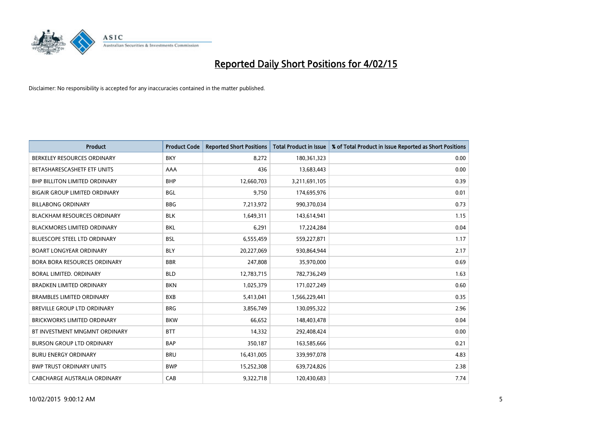

| <b>Product</b>                       | <b>Product Code</b> | <b>Reported Short Positions</b> | <b>Total Product in Issue</b> | % of Total Product in Issue Reported as Short Positions |
|--------------------------------------|---------------------|---------------------------------|-------------------------------|---------------------------------------------------------|
| BERKELEY RESOURCES ORDINARY          | <b>BKY</b>          | 8,272                           | 180,361,323                   | 0.00                                                    |
| BETASHARESCASHETF ETF UNITS          | AAA                 | 436                             | 13,683,443                    | 0.00                                                    |
| <b>BHP BILLITON LIMITED ORDINARY</b> | <b>BHP</b>          | 12,660,703                      | 3,211,691,105                 | 0.39                                                    |
| <b>BIGAIR GROUP LIMITED ORDINARY</b> | <b>BGL</b>          | 9,750                           | 174,695,976                   | 0.01                                                    |
| <b>BILLABONG ORDINARY</b>            | <b>BBG</b>          | 7,213,972                       | 990,370,034                   | 0.73                                                    |
| <b>BLACKHAM RESOURCES ORDINARY</b>   | <b>BLK</b>          | 1,649,311                       | 143,614,941                   | 1.15                                                    |
| <b>BLACKMORES LIMITED ORDINARY</b>   | <b>BKL</b>          | 6,291                           | 17,224,284                    | 0.04                                                    |
| <b>BLUESCOPE STEEL LTD ORDINARY</b>  | <b>BSL</b>          | 6,555,459                       | 559,227,871                   | 1.17                                                    |
| <b>BOART LONGYEAR ORDINARY</b>       | <b>BLY</b>          | 20,227,069                      | 930,864,944                   | 2.17                                                    |
| <b>BORA BORA RESOURCES ORDINARY</b>  | <b>BBR</b>          | 247,808                         | 35,970,000                    | 0.69                                                    |
| BORAL LIMITED, ORDINARY              | <b>BLD</b>          | 12,783,715                      | 782,736,249                   | 1.63                                                    |
| <b>BRADKEN LIMITED ORDINARY</b>      | <b>BKN</b>          | 1,025,379                       | 171,027,249                   | 0.60                                                    |
| <b>BRAMBLES LIMITED ORDINARY</b>     | <b>BXB</b>          | 5,413,041                       | 1,566,229,441                 | 0.35                                                    |
| <b>BREVILLE GROUP LTD ORDINARY</b>   | <b>BRG</b>          | 3,856,749                       | 130,095,322                   | 2.96                                                    |
| <b>BRICKWORKS LIMITED ORDINARY</b>   | <b>BKW</b>          | 66,652                          | 148,403,478                   | 0.04                                                    |
| BT INVESTMENT MNGMNT ORDINARY        | <b>BTT</b>          | 14,332                          | 292,408,424                   | 0.00                                                    |
| <b>BURSON GROUP LTD ORDINARY</b>     | <b>BAP</b>          | 350,187                         | 163,585,666                   | 0.21                                                    |
| <b>BURU ENERGY ORDINARY</b>          | <b>BRU</b>          | 16,431,005                      | 339,997,078                   | 4.83                                                    |
| <b>BWP TRUST ORDINARY UNITS</b>      | <b>BWP</b>          | 15,252,308                      | 639,724,826                   | 2.38                                                    |
| CABCHARGE AUSTRALIA ORDINARY         | CAB                 | 9,322,718                       | 120,430,683                   | 7.74                                                    |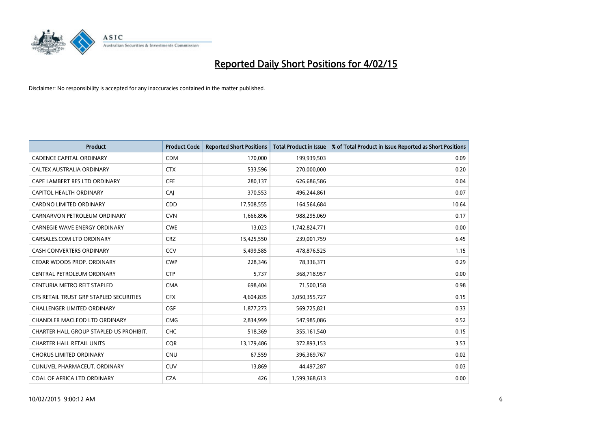

| <b>Product</b>                          | <b>Product Code</b> | <b>Reported Short Positions</b> | <b>Total Product in Issue</b> | % of Total Product in Issue Reported as Short Positions |
|-----------------------------------------|---------------------|---------------------------------|-------------------------------|---------------------------------------------------------|
| <b>CADENCE CAPITAL ORDINARY</b>         | <b>CDM</b>          | 170,000                         | 199,939,503                   | 0.09                                                    |
| CALTEX AUSTRALIA ORDINARY               | <b>CTX</b>          | 533,596                         | 270,000,000                   | 0.20                                                    |
| CAPE LAMBERT RES LTD ORDINARY           | <b>CFE</b>          | 280,137                         | 626,686,586                   | 0.04                                                    |
| <b>CAPITOL HEALTH ORDINARY</b>          | CAJ                 | 370,553                         | 496,244,861                   | 0.07                                                    |
| <b>CARDNO LIMITED ORDINARY</b>          | CDD                 | 17,508,555                      | 164,564,684                   | 10.64                                                   |
| CARNARVON PETROLEUM ORDINARY            | <b>CVN</b>          | 1,666,896                       | 988,295,069                   | 0.17                                                    |
| <b>CARNEGIE WAVE ENERGY ORDINARY</b>    | <b>CWE</b>          | 13,023                          | 1,742,824,771                 | 0.00                                                    |
| CARSALES.COM LTD ORDINARY               | <b>CRZ</b>          | 15,425,550                      | 239,001,759                   | 6.45                                                    |
| <b>CASH CONVERTERS ORDINARY</b>         | CCV                 | 5,499,585                       | 478,876,525                   | 1.15                                                    |
| CEDAR WOODS PROP. ORDINARY              | <b>CWP</b>          | 228,346                         | 78,336,371                    | 0.29                                                    |
| CENTRAL PETROLEUM ORDINARY              | <b>CTP</b>          | 5,737                           | 368,718,957                   | 0.00                                                    |
| CENTURIA METRO REIT STAPLED             | <b>CMA</b>          | 698,404                         | 71,500,158                    | 0.98                                                    |
| CFS RETAIL TRUST GRP STAPLED SECURITIES | <b>CFX</b>          | 4,604,835                       | 3,050,355,727                 | 0.15                                                    |
| <b>CHALLENGER LIMITED ORDINARY</b>      | <b>CGF</b>          | 1,877,273                       | 569,725,821                   | 0.33                                                    |
| CHANDLER MACLEOD LTD ORDINARY           | <b>CMG</b>          | 2,834,999                       | 547,985,086                   | 0.52                                                    |
| CHARTER HALL GROUP STAPLED US PROHIBIT. | <b>CHC</b>          | 518,369                         | 355,161,540                   | 0.15                                                    |
| <b>CHARTER HALL RETAIL UNITS</b>        | <b>CQR</b>          | 13,179,486                      | 372,893,153                   | 3.53                                                    |
| <b>CHORUS LIMITED ORDINARY</b>          | <b>CNU</b>          | 67,559                          | 396,369,767                   | 0.02                                                    |
| CLINUVEL PHARMACEUT, ORDINARY           | <b>CUV</b>          | 13,869                          | 44,497,287                    | 0.03                                                    |
| COAL OF AFRICA LTD ORDINARY             | <b>CZA</b>          | 426                             | 1,599,368,613                 | 0.00                                                    |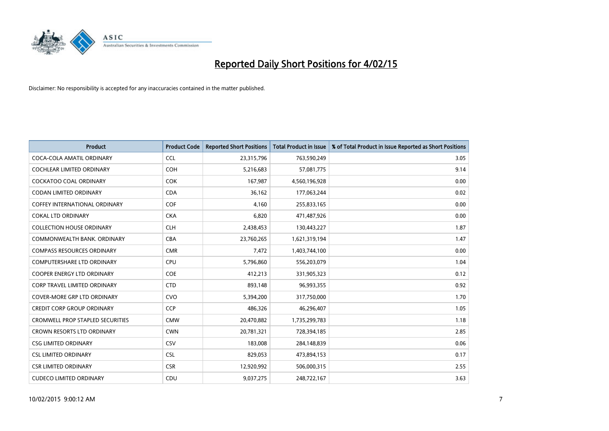

| <b>Product</b>                          | <b>Product Code</b> | <b>Reported Short Positions</b> | <b>Total Product in Issue</b> | % of Total Product in Issue Reported as Short Positions |
|-----------------------------------------|---------------------|---------------------------------|-------------------------------|---------------------------------------------------------|
| COCA-COLA AMATIL ORDINARY               | <b>CCL</b>          | 23,315,796                      | 763,590,249                   | 3.05                                                    |
| COCHLEAR LIMITED ORDINARY               | <b>COH</b>          | 5,216,683                       | 57,081,775                    | 9.14                                                    |
| <b>COCKATOO COAL ORDINARY</b>           | <b>COK</b>          | 167,987                         | 4,560,196,928                 | 0.00                                                    |
| <b>CODAN LIMITED ORDINARY</b>           | <b>CDA</b>          | 36,162                          | 177,063,244                   | 0.02                                                    |
| COFFEY INTERNATIONAL ORDINARY           | <b>COF</b>          | 4,160                           | 255,833,165                   | 0.00                                                    |
| <b>COKAL LTD ORDINARY</b>               | <b>CKA</b>          | 6,820                           | 471,487,926                   | 0.00                                                    |
| <b>COLLECTION HOUSE ORDINARY</b>        | <b>CLH</b>          | 2,438,453                       | 130,443,227                   | 1.87                                                    |
| COMMONWEALTH BANK, ORDINARY             | <b>CBA</b>          | 23,760,265                      | 1,621,319,194                 | 1.47                                                    |
| <b>COMPASS RESOURCES ORDINARY</b>       | <b>CMR</b>          | 7,472                           | 1,403,744,100                 | 0.00                                                    |
| <b>COMPUTERSHARE LTD ORDINARY</b>       | <b>CPU</b>          | 5,796,860                       | 556,203,079                   | 1.04                                                    |
| COOPER ENERGY LTD ORDINARY              | <b>COE</b>          | 412,213                         | 331,905,323                   | 0.12                                                    |
| <b>CORP TRAVEL LIMITED ORDINARY</b>     | <b>CTD</b>          | 893,148                         | 96,993,355                    | 0.92                                                    |
| <b>COVER-MORE GRP LTD ORDINARY</b>      | <b>CVO</b>          | 5,394,200                       | 317,750,000                   | 1.70                                                    |
| <b>CREDIT CORP GROUP ORDINARY</b>       | <b>CCP</b>          | 486,326                         | 46,296,407                    | 1.05                                                    |
| <b>CROMWELL PROP STAPLED SECURITIES</b> | <b>CMW</b>          | 20,470,882                      | 1,735,299,783                 | 1.18                                                    |
| CROWN RESORTS LTD ORDINARY              | <b>CWN</b>          | 20,781,321                      | 728,394,185                   | 2.85                                                    |
| <b>CSG LIMITED ORDINARY</b>             | <b>CSV</b>          | 183,008                         | 284,148,839                   | 0.06                                                    |
| <b>CSL LIMITED ORDINARY</b>             | <b>CSL</b>          | 829,053                         | 473,894,153                   | 0.17                                                    |
| <b>CSR LIMITED ORDINARY</b>             | <b>CSR</b>          | 12,920,992                      | 506,000,315                   | 2.55                                                    |
| <b>CUDECO LIMITED ORDINARY</b>          | CDU                 | 9,037,275                       | 248,722,167                   | 3.63                                                    |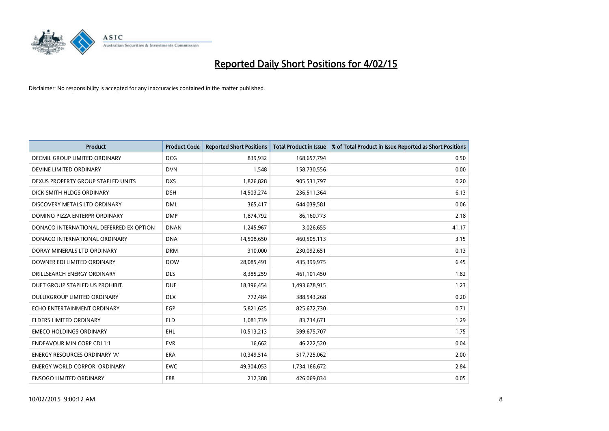

| <b>Product</b>                          | <b>Product Code</b> | <b>Reported Short Positions</b> | <b>Total Product in Issue</b> | % of Total Product in Issue Reported as Short Positions |
|-----------------------------------------|---------------------|---------------------------------|-------------------------------|---------------------------------------------------------|
| <b>DECMIL GROUP LIMITED ORDINARY</b>    | <b>DCG</b>          | 839,932                         | 168,657,794                   | 0.50                                                    |
| DEVINE LIMITED ORDINARY                 | <b>DVN</b>          | 1,548                           | 158,730,556                   | 0.00                                                    |
| DEXUS PROPERTY GROUP STAPLED UNITS      | <b>DXS</b>          | 1,826,828                       | 905,531,797                   | 0.20                                                    |
| DICK SMITH HLDGS ORDINARY               | <b>DSH</b>          | 14,503,274                      | 236,511,364                   | 6.13                                                    |
| DISCOVERY METALS LTD ORDINARY           | <b>DML</b>          | 365,417                         | 644,039,581                   | 0.06                                                    |
| DOMINO PIZZA ENTERPR ORDINARY           | <b>DMP</b>          | 1,874,792                       | 86,160,773                    | 2.18                                                    |
| DONACO INTERNATIONAL DEFERRED EX OPTION | <b>DNAN</b>         | 1,245,967                       | 3,026,655                     | 41.17                                                   |
| DONACO INTERNATIONAL ORDINARY           | <b>DNA</b>          | 14,508,650                      | 460,505,113                   | 3.15                                                    |
| DORAY MINERALS LTD ORDINARY             | <b>DRM</b>          | 310,000                         | 230,092,651                   | 0.13                                                    |
| DOWNER EDI LIMITED ORDINARY             | <b>DOW</b>          | 28,085,491                      | 435,399,975                   | 6.45                                                    |
| DRILLSEARCH ENERGY ORDINARY             | <b>DLS</b>          | 8,385,259                       | 461,101,450                   | 1.82                                                    |
| DUET GROUP STAPLED US PROHIBIT.         | <b>DUE</b>          | 18,396,454                      | 1,493,678,915                 | 1.23                                                    |
| DULUXGROUP LIMITED ORDINARY             | <b>DLX</b>          | 772,484                         | 388,543,268                   | 0.20                                                    |
| ECHO ENTERTAINMENT ORDINARY             | EGP                 | 5,821,625                       | 825,672,730                   | 0.71                                                    |
| <b>ELDERS LIMITED ORDINARY</b>          | <b>ELD</b>          | 1,081,739                       | 83,734,671                    | 1.29                                                    |
| <b>EMECO HOLDINGS ORDINARY</b>          | <b>EHL</b>          | 10,513,213                      | 599,675,707                   | 1.75                                                    |
| <b>ENDEAVOUR MIN CORP CDI 1:1</b>       | <b>EVR</b>          | 16,662                          | 46,222,520                    | 0.04                                                    |
| ENERGY RESOURCES ORDINARY 'A'           | <b>ERA</b>          | 10,349,514                      | 517,725,062                   | 2.00                                                    |
| <b>ENERGY WORLD CORPOR, ORDINARY</b>    | <b>EWC</b>          | 49,304,053                      | 1,734,166,672                 | 2.84                                                    |
| <b>ENSOGO LIMITED ORDINARY</b>          | E88                 | 212,388                         | 426,069,834                   | 0.05                                                    |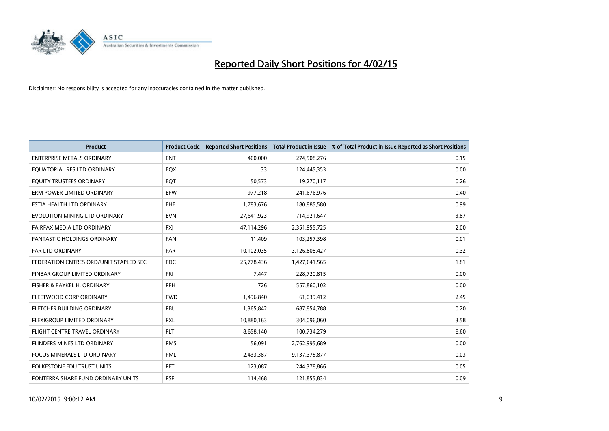

| <b>Product</b>                         | <b>Product Code</b> | <b>Reported Short Positions</b> | <b>Total Product in Issue</b> | % of Total Product in Issue Reported as Short Positions |
|----------------------------------------|---------------------|---------------------------------|-------------------------------|---------------------------------------------------------|
| <b>ENTERPRISE METALS ORDINARY</b>      | <b>ENT</b>          | 400,000                         | 274,508,276                   | 0.15                                                    |
| EQUATORIAL RES LTD ORDINARY            | EQX                 | 33                              | 124,445,353                   | 0.00                                                    |
| EQUITY TRUSTEES ORDINARY               | EQT                 | 50,573                          | 19,270,117                    | 0.26                                                    |
| ERM POWER LIMITED ORDINARY             | <b>EPW</b>          | 977,218                         | 241,676,976                   | 0.40                                                    |
| ESTIA HEALTH LTD ORDINARY              | EHE                 | 1,783,676                       | 180,885,580                   | 0.99                                                    |
| EVOLUTION MINING LTD ORDINARY          | <b>EVN</b>          | 27,641,923                      | 714,921,647                   | 3.87                                                    |
| FAIRFAX MEDIA LTD ORDINARY             | <b>FXI</b>          | 47,114,296                      | 2,351,955,725                 | 2.00                                                    |
| FANTASTIC HOLDINGS ORDINARY            | <b>FAN</b>          | 11,409                          | 103,257,398                   | 0.01                                                    |
| <b>FAR LTD ORDINARY</b>                | <b>FAR</b>          | 10,102,035                      | 3,126,808,427                 | 0.32                                                    |
| FEDERATION CNTRES ORD/UNIT STAPLED SEC | <b>FDC</b>          | 25,778,436                      | 1,427,641,565                 | 1.81                                                    |
| FINBAR GROUP LIMITED ORDINARY          | <b>FRI</b>          | 7,447                           | 228,720,815                   | 0.00                                                    |
| FISHER & PAYKEL H. ORDINARY            | <b>FPH</b>          | 726                             | 557,860,102                   | 0.00                                                    |
| FLEETWOOD CORP ORDINARY                | <b>FWD</b>          | 1,496,840                       | 61,039,412                    | 2.45                                                    |
| FLETCHER BUILDING ORDINARY             | <b>FBU</b>          | 1,365,842                       | 687,854,788                   | 0.20                                                    |
| FLEXIGROUP LIMITED ORDINARY            | <b>FXL</b>          | 10,880,163                      | 304,096,060                   | 3.58                                                    |
| FLIGHT CENTRE TRAVEL ORDINARY          | <b>FLT</b>          | 8,658,140                       | 100,734,279                   | 8.60                                                    |
| FLINDERS MINES LTD ORDINARY            | <b>FMS</b>          | 56,091                          | 2,762,995,689                 | 0.00                                                    |
| FOCUS MINERALS LTD ORDINARY            | <b>FML</b>          | 2,433,387                       | 9,137,375,877                 | 0.03                                                    |
| <b>FOLKESTONE EDU TRUST UNITS</b>      | <b>FET</b>          | 123,087                         | 244,378,866                   | 0.05                                                    |
| FONTERRA SHARE FUND ORDINARY UNITS     | <b>FSF</b>          | 114,468                         | 121,855,834                   | 0.09                                                    |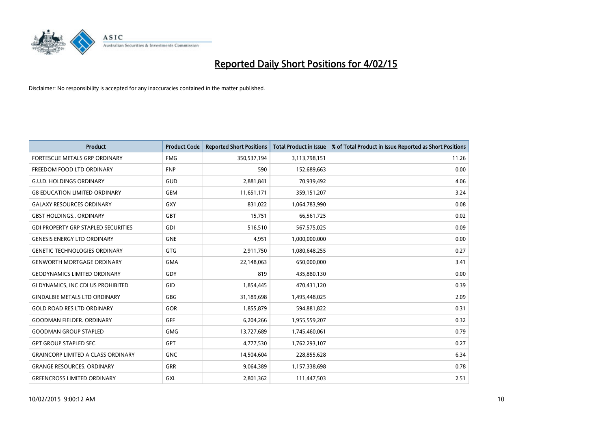

| <b>Product</b>                             | <b>Product Code</b> | <b>Reported Short Positions</b> | <b>Total Product in Issue</b> | % of Total Product in Issue Reported as Short Positions |
|--------------------------------------------|---------------------|---------------------------------|-------------------------------|---------------------------------------------------------|
| FORTESCUE METALS GRP ORDINARY              | <b>FMG</b>          | 350,537,194                     | 3,113,798,151                 | 11.26                                                   |
| FREEDOM FOOD LTD ORDINARY                  | <b>FNP</b>          | 590                             | 152,689,663                   | 0.00                                                    |
| <b>G.U.D. HOLDINGS ORDINARY</b>            | GUD                 | 2,881,841                       | 70,939,492                    | 4.06                                                    |
| <b>G8 EDUCATION LIMITED ORDINARY</b>       | <b>GEM</b>          | 11,651,171                      | 359,151,207                   | 3.24                                                    |
| <b>GALAXY RESOURCES ORDINARY</b>           | GXY                 | 831,022                         | 1,064,783,990                 | 0.08                                                    |
| <b>GBST HOLDINGS., ORDINARY</b>            | GBT                 | 15,751                          | 66,561,725                    | 0.02                                                    |
| <b>GDI PROPERTY GRP STAPLED SECURITIES</b> | GDI                 | 516,510                         | 567,575,025                   | 0.09                                                    |
| <b>GENESIS ENERGY LTD ORDINARY</b>         | <b>GNE</b>          | 4,951                           | 1,000,000,000                 | 0.00                                                    |
| <b>GENETIC TECHNOLOGIES ORDINARY</b>       | <b>GTG</b>          | 2,911,750                       | 1,080,648,255                 | 0.27                                                    |
| <b>GENWORTH MORTGAGE ORDINARY</b>          | <b>GMA</b>          | 22,148,063                      | 650,000,000                   | 3.41                                                    |
| <b>GEODYNAMICS LIMITED ORDINARY</b>        | GDY                 | 819                             | 435,880,130                   | 0.00                                                    |
| GI DYNAMICS, INC CDI US PROHIBITED         | GID                 | 1,854,445                       | 470,431,120                   | 0.39                                                    |
| <b>GINDALBIE METALS LTD ORDINARY</b>       | GBG                 | 31,189,698                      | 1,495,448,025                 | 2.09                                                    |
| <b>GOLD ROAD RES LTD ORDINARY</b>          | <b>GOR</b>          | 1,855,879                       | 594,881,822                   | 0.31                                                    |
| <b>GOODMAN FIELDER, ORDINARY</b>           | GFF                 | 6,204,266                       | 1,955,559,207                 | 0.32                                                    |
| <b>GOODMAN GROUP STAPLED</b>               | <b>GMG</b>          | 13,727,689                      | 1,745,460,061                 | 0.79                                                    |
| <b>GPT GROUP STAPLED SEC.</b>              | GPT                 | 4,777,530                       | 1,762,293,107                 | 0.27                                                    |
| <b>GRAINCORP LIMITED A CLASS ORDINARY</b>  | <b>GNC</b>          | 14,504,604                      | 228,855,628                   | 6.34                                                    |
| <b>GRANGE RESOURCES, ORDINARY</b>          | <b>GRR</b>          | 9,064,389                       | 1,157,338,698                 | 0.78                                                    |
| <b>GREENCROSS LIMITED ORDINARY</b>         | GXL                 | 2,801,362                       | 111,447,503                   | 2.51                                                    |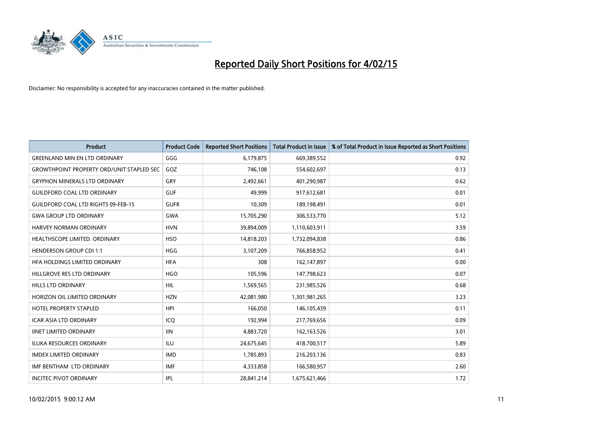

| <b>Product</b>                                   | <b>Product Code</b> | <b>Reported Short Positions</b> | <b>Total Product in Issue</b> | % of Total Product in Issue Reported as Short Positions |
|--------------------------------------------------|---------------------|---------------------------------|-------------------------------|---------------------------------------------------------|
| <b>GREENLAND MIN EN LTD ORDINARY</b>             | GGG                 | 6,179,875                       | 669,389,552                   | 0.92                                                    |
| <b>GROWTHPOINT PROPERTY ORD/UNIT STAPLED SEC</b> | GOZ                 | 746,108                         | 554,602,697                   | 0.13                                                    |
| <b>GRYPHON MINERALS LTD ORDINARY</b>             | GRY                 | 2,492,661                       | 401,290,987                   | 0.62                                                    |
| <b>GUILDFORD COAL LTD ORDINARY</b>               | <b>GUF</b>          | 49,999                          | 917,612,681                   | 0.01                                                    |
| <b>GUILDFORD COAL LTD RIGHTS 09-FEB-15</b>       | <b>GUFR</b>         | 10,309                          | 189,198,491                   | 0.01                                                    |
| <b>GWA GROUP LTD ORDINARY</b>                    | <b>GWA</b>          | 15,705,290                      | 306,533,770                   | 5.12                                                    |
| <b>HARVEY NORMAN ORDINARY</b>                    | <b>HVN</b>          | 39,894,009                      | 1,110,603,911                 | 3.59                                                    |
| HEALTHSCOPE LIMITED. ORDINARY                    | <b>HSO</b>          | 14,818,203                      | 1,732,094,838                 | 0.86                                                    |
| <b>HENDERSON GROUP CDI 1:1</b>                   | HGG                 | 3,107,209                       | 766,858,952                   | 0.41                                                    |
| HFA HOLDINGS LIMITED ORDINARY                    | <b>HFA</b>          | 308                             | 162,147,897                   | 0.00                                                    |
| HILLGROVE RES LTD ORDINARY                       | <b>HGO</b>          | 105,596                         | 147,798,623                   | 0.07                                                    |
| <b>HILLS LTD ORDINARY</b>                        | HIL                 | 1,569,565                       | 231,985,526                   | 0.68                                                    |
| HORIZON OIL LIMITED ORDINARY                     | <b>HZN</b>          | 42,081,980                      | 1,301,981,265                 | 3.23                                                    |
| <b>HOTEL PROPERTY STAPLED</b>                    | <b>HPI</b>          | 166.050                         | 146,105,439                   | 0.11                                                    |
| <b>ICAR ASIA LTD ORDINARY</b>                    | ICO                 | 192,994                         | 217,769,656                   | 0.09                                                    |
| <b>IINET LIMITED ORDINARY</b>                    | <b>IIN</b>          | 4,883,720                       | 162,163,526                   | 3.01                                                    |
| <b>ILUKA RESOURCES ORDINARY</b>                  | ILU                 | 24,675,645                      | 418,700,517                   | 5.89                                                    |
| <b>IMDEX LIMITED ORDINARY</b>                    | <b>IMD</b>          | 1,785,893                       | 216,203,136                   | 0.83                                                    |
| IMF BENTHAM LTD ORDINARY                         | <b>IMF</b>          | 4,333,858                       | 166,580,957                   | 2.60                                                    |
| <b>INCITEC PIVOT ORDINARY</b>                    | IPL                 | 28,841,214                      | 1,675,621,466                 | 1.72                                                    |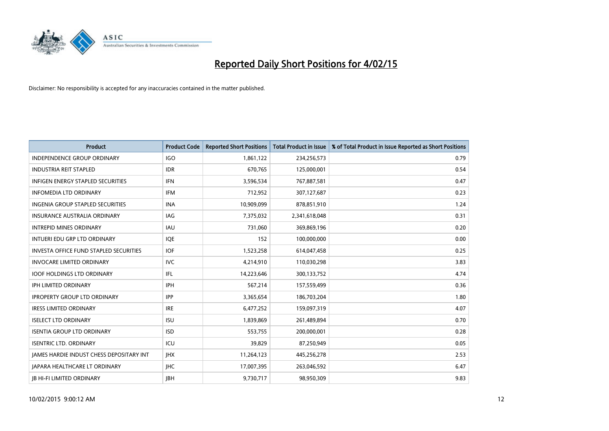

| <b>Product</b>                           | <b>Product Code</b> | <b>Reported Short Positions</b> | <b>Total Product in Issue</b> | % of Total Product in Issue Reported as Short Positions |
|------------------------------------------|---------------------|---------------------------------|-------------------------------|---------------------------------------------------------|
| <b>INDEPENDENCE GROUP ORDINARY</b>       | <b>IGO</b>          | 1,861,122                       | 234,256,573                   | 0.79                                                    |
| <b>INDUSTRIA REIT STAPLED</b>            | <b>IDR</b>          | 670,765                         | 125,000,001                   | 0.54                                                    |
| <b>INFIGEN ENERGY STAPLED SECURITIES</b> | <b>IFN</b>          | 3,596,534                       | 767,887,581                   | 0.47                                                    |
| <b>INFOMEDIA LTD ORDINARY</b>            | <b>IFM</b>          | 712,952                         | 307,127,687                   | 0.23                                                    |
| <b>INGENIA GROUP STAPLED SECURITIES</b>  | <b>INA</b>          | 10,909,099                      | 878,851,910                   | 1.24                                                    |
| <b>INSURANCE AUSTRALIA ORDINARY</b>      | IAG                 | 7,375,032                       | 2,341,618,048                 | 0.31                                                    |
| <b>INTREPID MINES ORDINARY</b>           | <b>IAU</b>          | 731,060                         | 369,869,196                   | 0.20                                                    |
| INTUERI EDU GRP LTD ORDINARY             | IQE                 | 152                             | 100,000,000                   | 0.00                                                    |
| INVESTA OFFICE FUND STAPLED SECURITIES   | <b>IOF</b>          | 1,523,258                       | 614,047,458                   | 0.25                                                    |
| <b>INVOCARE LIMITED ORDINARY</b>         | IVC                 | 4,214,910                       | 110,030,298                   | 3.83                                                    |
| <b>IOOF HOLDINGS LTD ORDINARY</b>        | IFL                 | 14,223,646                      | 300,133,752                   | 4.74                                                    |
| <b>IPH LIMITED ORDINARY</b>              | <b>IPH</b>          | 567,214                         | 157,559,499                   | 0.36                                                    |
| <b>IPROPERTY GROUP LTD ORDINARY</b>      | <b>IPP</b>          | 3,365,654                       | 186,703,204                   | 1.80                                                    |
| <b>IRESS LIMITED ORDINARY</b>            | <b>IRE</b>          | 6,477,252                       | 159,097,319                   | 4.07                                                    |
| <b>ISELECT LTD ORDINARY</b>              | <b>ISU</b>          | 1,839,869                       | 261,489,894                   | 0.70                                                    |
| <b>ISENTIA GROUP LTD ORDINARY</b>        | <b>ISD</b>          | 553,755                         | 200,000,001                   | 0.28                                                    |
| <b>ISENTRIC LTD. ORDINARY</b>            | ICU                 | 39,829                          | 87,250,949                    | 0.05                                                    |
| JAMES HARDIE INDUST CHESS DEPOSITARY INT | <b>IHX</b>          | 11,264,123                      | 445,256,278                   | 2.53                                                    |
| <b>JAPARA HEALTHCARE LT ORDINARY</b>     | <b>IHC</b>          | 17,007,395                      | 263,046,592                   | 6.47                                                    |
| <b>JB HI-FI LIMITED ORDINARY</b>         | <b>IBH</b>          | 9,730,717                       | 98,950,309                    | 9.83                                                    |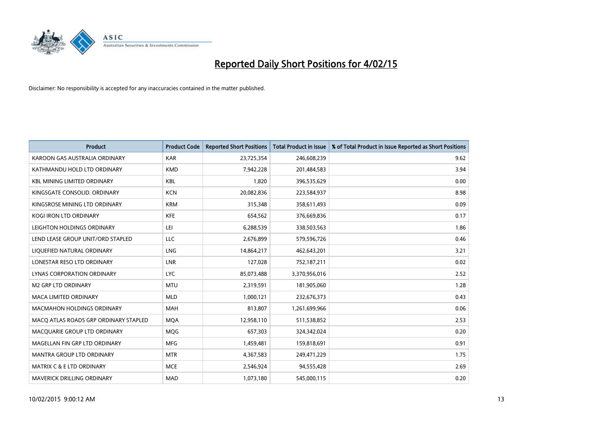

| <b>Product</b>                        | <b>Product Code</b> | <b>Reported Short Positions</b> | <b>Total Product in Issue</b> | % of Total Product in Issue Reported as Short Positions |
|---------------------------------------|---------------------|---------------------------------|-------------------------------|---------------------------------------------------------|
| KAROON GAS AUSTRALIA ORDINARY         | <b>KAR</b>          | 23,725,354                      | 246,608,239                   | 9.62                                                    |
| KATHMANDU HOLD LTD ORDINARY           | <b>KMD</b>          | 7,942,228                       | 201,484,583                   | 3.94                                                    |
| <b>KBL MINING LIMITED ORDINARY</b>    | <b>KBL</b>          | 1,820                           | 396,535,629                   | 0.00                                                    |
| KINGSGATE CONSOLID. ORDINARY          | <b>KCN</b>          | 20,082,836                      | 223,584,937                   | 8.98                                                    |
| KINGSROSE MINING LTD ORDINARY         | <b>KRM</b>          | 315,348                         | 358,611,493                   | 0.09                                                    |
| <b>KOGI IRON LTD ORDINARY</b>         | <b>KFE</b>          | 654,562                         | 376,669,836                   | 0.17                                                    |
| LEIGHTON HOLDINGS ORDINARY            | LEI                 | 6,288,539                       | 338,503,563                   | 1.86                                                    |
| LEND LEASE GROUP UNIT/ORD STAPLED     | <b>LLC</b>          | 2,676,899                       | 579,596,726                   | 0.46                                                    |
| LIQUEFIED NATURAL ORDINARY            | <b>LNG</b>          | 14,864,217                      | 462,643,201                   | 3.21                                                    |
| LONESTAR RESO LTD ORDINARY            | <b>LNR</b>          | 127,028                         | 752,187,211                   | 0.02                                                    |
| LYNAS CORPORATION ORDINARY            | <b>LYC</b>          | 85,073,488                      | 3,370,956,016                 | 2.52                                                    |
| <b>M2 GRP LTD ORDINARY</b>            | <b>MTU</b>          | 2,319,591                       | 181,905,060                   | 1.28                                                    |
| <b>MACA LIMITED ORDINARY</b>          | <b>MLD</b>          | 1,000,121                       | 232,676,373                   | 0.43                                                    |
| <b>MACMAHON HOLDINGS ORDINARY</b>     | <b>MAH</b>          | 813,807                         | 1,261,699,966                 | 0.06                                                    |
| MACO ATLAS ROADS GRP ORDINARY STAPLED | <b>MOA</b>          | 12,958,110                      | 511,538,852                   | 2.53                                                    |
| MACQUARIE GROUP LTD ORDINARY          | <b>MOG</b>          | 657,303                         | 324,342,024                   | 0.20                                                    |
| MAGELLAN FIN GRP LTD ORDINARY         | <b>MFG</b>          | 1,459,481                       | 159,818,691                   | 0.91                                                    |
| MANTRA GROUP LTD ORDINARY             | <b>MTR</b>          | 4,367,583                       | 249,471,229                   | 1.75                                                    |
| <b>MATRIX C &amp; E LTD ORDINARY</b>  | <b>MCE</b>          | 2,546,924                       | 94,555,428                    | 2.69                                                    |
| <b>MAVERICK DRILLING ORDINARY</b>     | <b>MAD</b>          | 1,073,180                       | 545,000,115                   | 0.20                                                    |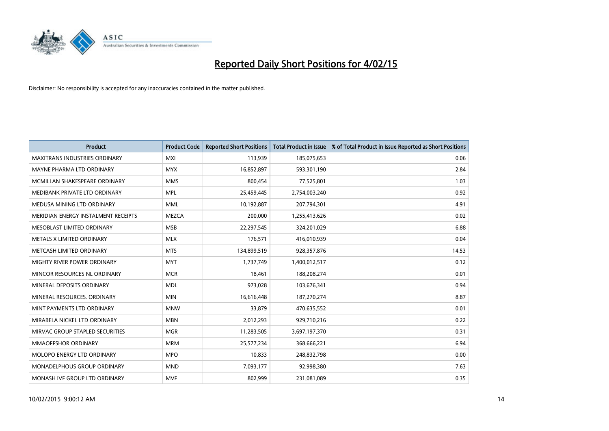

| <b>Product</b>                       | <b>Product Code</b> | <b>Reported Short Positions</b> | <b>Total Product in Issue</b> | % of Total Product in Issue Reported as Short Positions |
|--------------------------------------|---------------------|---------------------------------|-------------------------------|---------------------------------------------------------|
| <b>MAXITRANS INDUSTRIES ORDINARY</b> | <b>MXI</b>          | 113,939                         | 185,075,653                   | 0.06                                                    |
| MAYNE PHARMA LTD ORDINARY            | <b>MYX</b>          | 16,852,897                      | 593,301,190                   | 2.84                                                    |
| MCMILLAN SHAKESPEARE ORDINARY        | <b>MMS</b>          | 800,454                         | 77,525,801                    | 1.03                                                    |
| MEDIBANK PRIVATE LTD ORDINARY        | <b>MPL</b>          | 25,459,445                      | 2,754,003,240                 | 0.92                                                    |
| MEDUSA MINING LTD ORDINARY           | <b>MML</b>          | 10,192,887                      | 207,794,301                   | 4.91                                                    |
| MERIDIAN ENERGY INSTALMENT RECEIPTS  | <b>MEZCA</b>        | 200,000                         | 1,255,413,626                 | 0.02                                                    |
| MESOBLAST LIMITED ORDINARY           | <b>MSB</b>          | 22,297,545                      | 324,201,029                   | 6.88                                                    |
| METALS X LIMITED ORDINARY            | <b>MLX</b>          | 176,571                         | 416,010,939                   | 0.04                                                    |
| METCASH LIMITED ORDINARY             | <b>MTS</b>          | 134,899,519                     | 928,357,876                   | 14.53                                                   |
| MIGHTY RIVER POWER ORDINARY          | <b>MYT</b>          | 1,737,749                       | 1,400,012,517                 | 0.12                                                    |
| MINCOR RESOURCES NL ORDINARY         | <b>MCR</b>          | 18,461                          | 188,208,274                   | 0.01                                                    |
| MINERAL DEPOSITS ORDINARY            | <b>MDL</b>          | 973,028                         | 103,676,341                   | 0.94                                                    |
| MINERAL RESOURCES. ORDINARY          | <b>MIN</b>          | 16,616,448                      | 187,270,274                   | 8.87                                                    |
| MINT PAYMENTS LTD ORDINARY           | <b>MNW</b>          | 33,879                          | 470,635,552                   | 0.01                                                    |
| MIRABELA NICKEL LTD ORDINARY         | <b>MBN</b>          | 2,012,293                       | 929,710,216                   | 0.22                                                    |
| MIRVAC GROUP STAPLED SECURITIES      | <b>MGR</b>          | 11,283,505                      | 3,697,197,370                 | 0.31                                                    |
| MMAOFFSHOR ORDINARY                  | <b>MRM</b>          | 25,577,234                      | 368,666,221                   | 6.94                                                    |
| MOLOPO ENERGY LTD ORDINARY           | <b>MPO</b>          | 10,833                          | 248,832,798                   | 0.00                                                    |
| MONADELPHOUS GROUP ORDINARY          | <b>MND</b>          | 7,093,177                       | 92,998,380                    | 7.63                                                    |
| MONASH IVF GROUP LTD ORDINARY        | <b>MVF</b>          | 802,999                         | 231,081,089                   | 0.35                                                    |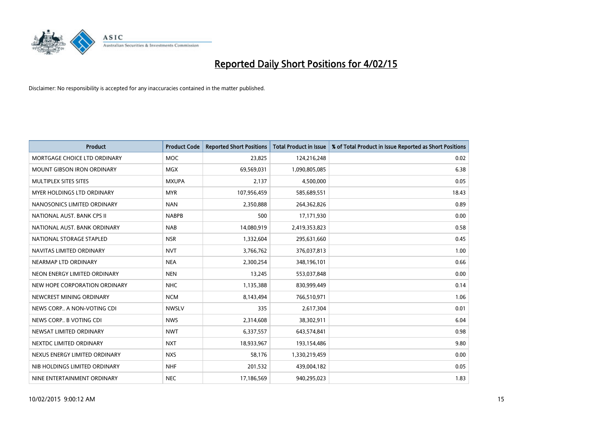

| <b>Product</b>                | <b>Product Code</b> | <b>Reported Short Positions</b> | <b>Total Product in Issue</b> | % of Total Product in Issue Reported as Short Positions |
|-------------------------------|---------------------|---------------------------------|-------------------------------|---------------------------------------------------------|
| MORTGAGE CHOICE LTD ORDINARY  | <b>MOC</b>          | 23,825                          | 124,216,248                   | 0.02                                                    |
| MOUNT GIBSON IRON ORDINARY    | MGX                 | 69,569,031                      | 1,090,805,085                 | 6.38                                                    |
| MULTIPLEX SITES SITES         | <b>MXUPA</b>        | 2.137                           | 4,500,000                     | 0.05                                                    |
| MYER HOLDINGS LTD ORDINARY    | <b>MYR</b>          | 107,956,459                     | 585,689,551                   | 18.43                                                   |
| NANOSONICS LIMITED ORDINARY   | <b>NAN</b>          | 2,350,888                       | 264,362,826                   | 0.89                                                    |
| NATIONAL AUST. BANK CPS II    | <b>NABPB</b>        | 500                             | 17,171,930                    | 0.00                                                    |
| NATIONAL AUST. BANK ORDINARY  | <b>NAB</b>          | 14,080,919                      | 2,419,353,823                 | 0.58                                                    |
| NATIONAL STORAGE STAPLED      | <b>NSR</b>          | 1,332,604                       | 295,631,660                   | 0.45                                                    |
| NAVITAS LIMITED ORDINARY      | <b>NVT</b>          | 3,766,762                       | 376,037,813                   | 1.00                                                    |
| NEARMAP LTD ORDINARY          | <b>NEA</b>          | 2,300,254                       | 348,196,101                   | 0.66                                                    |
| NEON ENERGY LIMITED ORDINARY  | <b>NEN</b>          | 13,245                          | 553,037,848                   | 0.00                                                    |
| NEW HOPE CORPORATION ORDINARY | <b>NHC</b>          | 1,135,388                       | 830,999,449                   | 0.14                                                    |
| NEWCREST MINING ORDINARY      | <b>NCM</b>          | 8,143,494                       | 766,510,971                   | 1.06                                                    |
| NEWS CORP A NON-VOTING CDI    | <b>NWSLV</b>        | 335                             | 2,617,304                     | 0.01                                                    |
| NEWS CORP B VOTING CDI        | <b>NWS</b>          | 2,314,608                       | 38,302,911                    | 6.04                                                    |
| NEWSAT LIMITED ORDINARY       | <b>NWT</b>          | 6,337,557                       | 643,574,841                   | 0.98                                                    |
| NEXTDC LIMITED ORDINARY       | <b>NXT</b>          | 18,933,967                      | 193,154,486                   | 9.80                                                    |
| NEXUS ENERGY LIMITED ORDINARY | <b>NXS</b>          | 58,176                          | 1,330,219,459                 | 0.00                                                    |
| NIB HOLDINGS LIMITED ORDINARY | <b>NHF</b>          | 201,532                         | 439,004,182                   | 0.05                                                    |
| NINE ENTERTAINMENT ORDINARY   | <b>NEC</b>          | 17,186,569                      | 940,295,023                   | 1.83                                                    |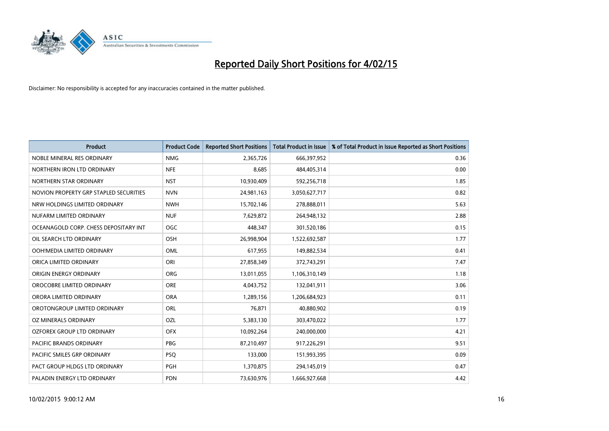

| <b>Product</b>                         | <b>Product Code</b> | <b>Reported Short Positions</b> | <b>Total Product in Issue</b> | % of Total Product in Issue Reported as Short Positions |
|----------------------------------------|---------------------|---------------------------------|-------------------------------|---------------------------------------------------------|
| NOBLE MINERAL RES ORDINARY             | <b>NMG</b>          | 2,365,726                       | 666,397,952                   | 0.36                                                    |
| NORTHERN IRON LTD ORDINARY             | <b>NFE</b>          | 8,685                           | 484,405,314                   | 0.00                                                    |
| NORTHERN STAR ORDINARY                 | <b>NST</b>          | 10,930,409                      | 592,256,718                   | 1.85                                                    |
| NOVION PROPERTY GRP STAPLED SECURITIES | <b>NVN</b>          | 24,981,163                      | 3,050,627,717                 | 0.82                                                    |
| NRW HOLDINGS LIMITED ORDINARY          | <b>NWH</b>          | 15,702,146                      | 278,888,011                   | 5.63                                                    |
| NUFARM LIMITED ORDINARY                | <b>NUF</b>          | 7,629,872                       | 264,948,132                   | 2.88                                                    |
| OCEANAGOLD CORP. CHESS DEPOSITARY INT  | <b>OGC</b>          | 448,347                         | 301,520,186                   | 0.15                                                    |
| OIL SEARCH LTD ORDINARY                | OSH                 | 26,998,904                      | 1,522,692,587                 | 1.77                                                    |
| OOH!MEDIA LIMITED ORDINARY             | OML                 | 617,955                         | 149,882,534                   | 0.41                                                    |
| ORICA LIMITED ORDINARY                 | ORI                 | 27,858,349                      | 372,743,291                   | 7.47                                                    |
| ORIGIN ENERGY ORDINARY                 | <b>ORG</b>          | 13,011,055                      | 1,106,310,149                 | 1.18                                                    |
| OROCOBRE LIMITED ORDINARY              | <b>ORE</b>          | 4,043,752                       | 132,041,911                   | 3.06                                                    |
| ORORA LIMITED ORDINARY                 | <b>ORA</b>          | 1,289,156                       | 1,206,684,923                 | 0.11                                                    |
| OROTONGROUP LIMITED ORDINARY           | ORL                 | 76,871                          | 40,880,902                    | 0.19                                                    |
| <b>OZ MINERALS ORDINARY</b>            | <b>OZL</b>          | 5,383,130                       | 303,470,022                   | 1.77                                                    |
| OZFOREX GROUP LTD ORDINARY             | <b>OFX</b>          | 10,092,264                      | 240,000,000                   | 4.21                                                    |
| PACIFIC BRANDS ORDINARY                | PBG                 | 87,210,497                      | 917,226,291                   | 9.51                                                    |
| PACIFIC SMILES GRP ORDINARY            | <b>PSQ</b>          | 133,000                         | 151,993,395                   | 0.09                                                    |
| PACT GROUP HLDGS LTD ORDINARY          | PGH                 | 1,370,875                       | 294,145,019                   | 0.47                                                    |
| PALADIN ENERGY LTD ORDINARY            | <b>PDN</b>          | 73,630,976                      | 1,666,927,668                 | 4.42                                                    |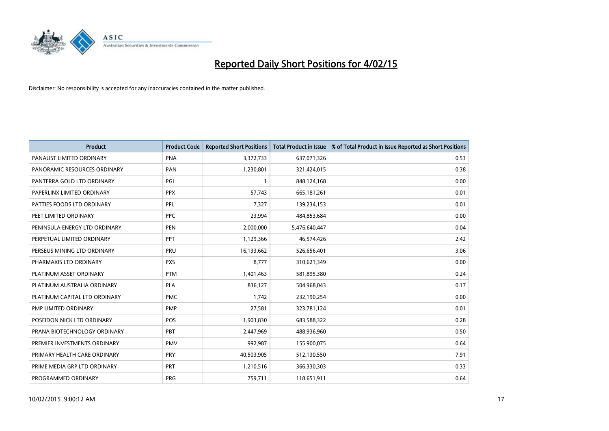

| <b>Product</b>                | <b>Product Code</b> | <b>Reported Short Positions</b> | <b>Total Product in Issue</b> | % of Total Product in Issue Reported as Short Positions |
|-------------------------------|---------------------|---------------------------------|-------------------------------|---------------------------------------------------------|
| PANAUST LIMITED ORDINARY      | <b>PNA</b>          | 3,372,733                       | 637,071,326                   | 0.53                                                    |
| PANORAMIC RESOURCES ORDINARY  | <b>PAN</b>          | 1,230,801                       | 321,424,015                   | 0.38                                                    |
| PANTERRA GOLD LTD ORDINARY    | PGI                 | $\mathbf{1}$                    | 848,124,168                   | 0.00                                                    |
| PAPERLINX LIMITED ORDINARY    | <b>PPX</b>          | 57,743                          | 665,181,261                   | 0.01                                                    |
| PATTIES FOODS LTD ORDINARY    | PFL                 | 7,327                           | 139,234,153                   | 0.01                                                    |
| PEET LIMITED ORDINARY         | <b>PPC</b>          | 23,994                          | 484,853,684                   | 0.00                                                    |
| PENINSULA ENERGY LTD ORDINARY | <b>PEN</b>          | 2,000,000                       | 5,476,640,447                 | 0.04                                                    |
| PERPETUAL LIMITED ORDINARY    | PPT                 | 1,129,366                       | 46,574,426                    | 2.42                                                    |
| PERSEUS MINING LTD ORDINARY   | PRU                 | 16,133,662                      | 526,656,401                   | 3.06                                                    |
| PHARMAXIS LTD ORDINARY        | <b>PXS</b>          | 8,777                           | 310,621,349                   | 0.00                                                    |
| PLATINUM ASSET ORDINARY       | <b>PTM</b>          | 1,401,463                       | 581,895,380                   | 0.24                                                    |
| PLATINUM AUSTRALIA ORDINARY   | <b>PLA</b>          | 836,127                         | 504,968,043                   | 0.17                                                    |
| PLATINUM CAPITAL LTD ORDINARY | <b>PMC</b>          | 1,742                           | 232,190,254                   | 0.00                                                    |
| PMP LIMITED ORDINARY          | <b>PMP</b>          | 27,581                          | 323,781,124                   | 0.01                                                    |
| POSEIDON NICK LTD ORDINARY    | POS                 | 1,903,830                       | 683,588,322                   | 0.28                                                    |
| PRANA BIOTECHNOLOGY ORDINARY  | <b>PBT</b>          | 2,447,969                       | 488,936,960                   | 0.50                                                    |
| PREMIER INVESTMENTS ORDINARY  | <b>PMV</b>          | 992,987                         | 155,900,075                   | 0.64                                                    |
| PRIMARY HEALTH CARE ORDINARY  | <b>PRY</b>          | 40,503,905                      | 512,130,550                   | 7.91                                                    |
| PRIME MEDIA GRP LTD ORDINARY  | <b>PRT</b>          | 1,210,516                       | 366,330,303                   | 0.33                                                    |
| PROGRAMMED ORDINARY           | <b>PRG</b>          | 759,711                         | 118,651,911                   | 0.64                                                    |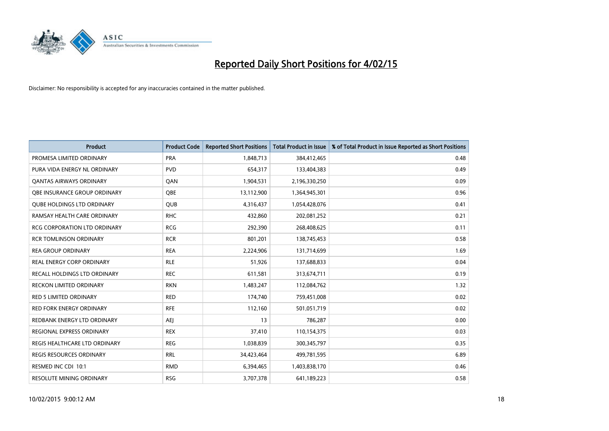

| <b>Product</b>                      | <b>Product Code</b> | <b>Reported Short Positions</b> | <b>Total Product in Issue</b> | % of Total Product in Issue Reported as Short Positions |
|-------------------------------------|---------------------|---------------------------------|-------------------------------|---------------------------------------------------------|
| PROMESA LIMITED ORDINARY            | <b>PRA</b>          | 1,848,713                       | 384,412,465                   | 0.48                                                    |
| PURA VIDA ENERGY NL ORDINARY        | <b>PVD</b>          | 654,317                         | 133,404,383                   | 0.49                                                    |
| <b>QANTAS AIRWAYS ORDINARY</b>      | QAN                 | 1,904,531                       | 2,196,330,250                 | 0.09                                                    |
| OBE INSURANCE GROUP ORDINARY        | <b>OBE</b>          | 13,112,900                      | 1,364,945,301                 | 0.96                                                    |
| <b>OUBE HOLDINGS LTD ORDINARY</b>   | QUB                 | 4,316,437                       | 1,054,428,076                 | 0.41                                                    |
| RAMSAY HEALTH CARE ORDINARY         | <b>RHC</b>          | 432,860                         | 202,081,252                   | 0.21                                                    |
| <b>RCG CORPORATION LTD ORDINARY</b> | <b>RCG</b>          | 292,390                         | 268,408,625                   | 0.11                                                    |
| <b>RCR TOMLINSON ORDINARY</b>       | <b>RCR</b>          | 801,201                         | 138,745,453                   | 0.58                                                    |
| <b>REA GROUP ORDINARY</b>           | <b>REA</b>          | 2,224,906                       | 131,714,699                   | 1.69                                                    |
| <b>REAL ENERGY CORP ORDINARY</b>    | <b>RLE</b>          | 51,926                          | 137,688,833                   | 0.04                                                    |
| RECALL HOLDINGS LTD ORDINARY        | <b>REC</b>          | 611,581                         | 313,674,711                   | 0.19                                                    |
| <b>RECKON LIMITED ORDINARY</b>      | <b>RKN</b>          | 1,483,247                       | 112,084,762                   | 1.32                                                    |
| RED 5 LIMITED ORDINARY              | <b>RED</b>          | 174,740                         | 759,451,008                   | 0.02                                                    |
| <b>RED FORK ENERGY ORDINARY</b>     | <b>RFE</b>          | 112,160                         | 501,051,719                   | 0.02                                                    |
| REDBANK ENERGY LTD ORDINARY         | <b>AEJ</b>          | 13                              | 786,287                       | 0.00                                                    |
| REGIONAL EXPRESS ORDINARY           | <b>REX</b>          | 37,410                          | 110,154,375                   | 0.03                                                    |
| REGIS HEALTHCARE LTD ORDINARY       | <b>REG</b>          | 1,038,839                       | 300, 345, 797                 | 0.35                                                    |
| REGIS RESOURCES ORDINARY            | <b>RRL</b>          | 34,423,464                      | 499,781,595                   | 6.89                                                    |
| RESMED INC CDI 10:1                 | <b>RMD</b>          | 6,394,465                       | 1,403,838,170                 | 0.46                                                    |
| <b>RESOLUTE MINING ORDINARY</b>     | <b>RSG</b>          | 3,707,378                       | 641,189,223                   | 0.58                                                    |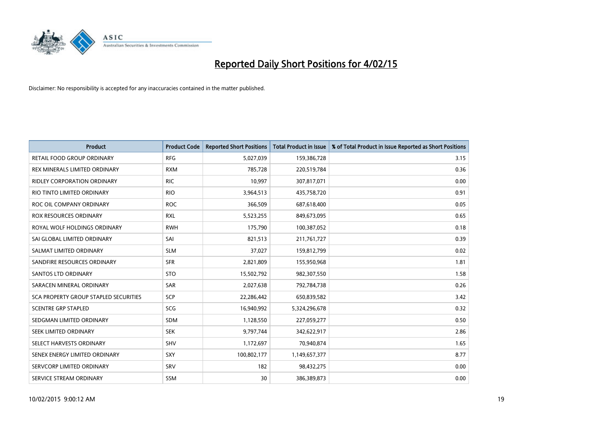

| <b>Product</b>                        | <b>Product Code</b> | <b>Reported Short Positions</b> | <b>Total Product in Issue</b> | % of Total Product in Issue Reported as Short Positions |
|---------------------------------------|---------------------|---------------------------------|-------------------------------|---------------------------------------------------------|
| <b>RETAIL FOOD GROUP ORDINARY</b>     | <b>RFG</b>          | 5,027,039                       | 159,386,728                   | 3.15                                                    |
| REX MINERALS LIMITED ORDINARY         | <b>RXM</b>          | 785,728                         | 220,519,784                   | 0.36                                                    |
| <b>RIDLEY CORPORATION ORDINARY</b>    | <b>RIC</b>          | 10,997                          | 307,817,071                   | 0.00                                                    |
| RIO TINTO LIMITED ORDINARY            | <b>RIO</b>          | 3,964,513                       | 435,758,720                   | 0.91                                                    |
| ROC OIL COMPANY ORDINARY              | <b>ROC</b>          | 366,509                         | 687,618,400                   | 0.05                                                    |
| <b>ROX RESOURCES ORDINARY</b>         | <b>RXL</b>          | 5,523,255                       | 849,673,095                   | 0.65                                                    |
| ROYAL WOLF HOLDINGS ORDINARY          | <b>RWH</b>          | 175,790                         | 100,387,052                   | 0.18                                                    |
| SAI GLOBAL LIMITED ORDINARY           | SAI                 | 821,513                         | 211,761,727                   | 0.39                                                    |
| SALMAT LIMITED ORDINARY               | <b>SLM</b>          | 37,027                          | 159,812,799                   | 0.02                                                    |
| SANDFIRE RESOURCES ORDINARY           | <b>SFR</b>          | 2,821,809                       | 155,950,968                   | 1.81                                                    |
| <b>SANTOS LTD ORDINARY</b>            | <b>STO</b>          | 15,502,792                      | 982,307,550                   | 1.58                                                    |
| SARACEN MINERAL ORDINARY              | SAR                 | 2,027,638                       | 792,784,738                   | 0.26                                                    |
| SCA PROPERTY GROUP STAPLED SECURITIES | <b>SCP</b>          | 22,286,442                      | 650,839,582                   | 3.42                                                    |
| <b>SCENTRE GRP STAPLED</b>            | SCG                 | 16,940,992                      | 5,324,296,678                 | 0.32                                                    |
| SEDGMAN LIMITED ORDINARY              | SDM                 | 1,128,550                       | 227,059,277                   | 0.50                                                    |
| SEEK LIMITED ORDINARY                 | <b>SEK</b>          | 9,797,744                       | 342,622,917                   | 2.86                                                    |
| SELECT HARVESTS ORDINARY              | SHV                 | 1,172,697                       | 70,940,874                    | 1.65                                                    |
| SENEX ENERGY LIMITED ORDINARY         | <b>SXY</b>          | 100,802,177                     | 1,149,657,377                 | 8.77                                                    |
| SERVCORP LIMITED ORDINARY             | SRV                 | 182                             | 98,432,275                    | 0.00                                                    |
| SERVICE STREAM ORDINARY               | <b>SSM</b>          | 30                              | 386,389,873                   | 0.00                                                    |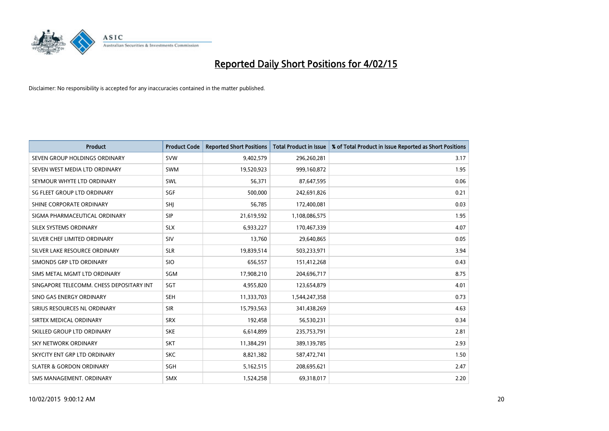

| <b>Product</b>                           | <b>Product Code</b> | <b>Reported Short Positions</b> | <b>Total Product in Issue</b> | % of Total Product in Issue Reported as Short Positions |
|------------------------------------------|---------------------|---------------------------------|-------------------------------|---------------------------------------------------------|
| SEVEN GROUP HOLDINGS ORDINARY            | <b>SVW</b>          | 9,402,579                       | 296,260,281                   | 3.17                                                    |
| SEVEN WEST MEDIA LTD ORDINARY            | <b>SWM</b>          | 19,520,923                      | 999,160,872                   | 1.95                                                    |
| SEYMOUR WHYTE LTD ORDINARY               | SWL                 | 56,371                          | 87,647,595                    | 0.06                                                    |
| SG FLEET GROUP LTD ORDINARY              | SGF                 | 500,000                         | 242,691,826                   | 0.21                                                    |
| SHINE CORPORATE ORDINARY                 | SHJ                 | 56,785                          | 172,400,081                   | 0.03                                                    |
| SIGMA PHARMACEUTICAL ORDINARY            | <b>SIP</b>          | 21,619,592                      | 1,108,086,575                 | 1.95                                                    |
| SILEX SYSTEMS ORDINARY                   | <b>SLX</b>          | 6,933,227                       | 170,467,339                   | 4.07                                                    |
| SILVER CHEF LIMITED ORDINARY             | SIV                 | 13,760                          | 29,640,865                    | 0.05                                                    |
| SILVER LAKE RESOURCE ORDINARY            | <b>SLR</b>          | 19,839,514                      | 503,233,971                   | 3.94                                                    |
| SIMONDS GRP LTD ORDINARY                 | <b>SIO</b>          | 656,557                         | 151,412,268                   | 0.43                                                    |
| SIMS METAL MGMT LTD ORDINARY             | SGM                 | 17,908,210                      | 204,696,717                   | 8.75                                                    |
| SINGAPORE TELECOMM. CHESS DEPOSITARY INT | SGT                 | 4,955,820                       | 123,654,879                   | 4.01                                                    |
| SINO GAS ENERGY ORDINARY                 | <b>SEH</b>          | 11,333,703                      | 1,544,247,358                 | 0.73                                                    |
| SIRIUS RESOURCES NL ORDINARY             | <b>SIR</b>          | 15,793,563                      | 341,438,269                   | 4.63                                                    |
| SIRTEX MEDICAL ORDINARY                  | <b>SRX</b>          | 192,458                         | 56,530,231                    | 0.34                                                    |
| SKILLED GROUP LTD ORDINARY               | <b>SKE</b>          | 6,614,899                       | 235,753,791                   | 2.81                                                    |
| SKY NETWORK ORDINARY                     | <b>SKT</b>          | 11,384,291                      | 389,139,785                   | 2.93                                                    |
| SKYCITY ENT GRP LTD ORDINARY             | <b>SKC</b>          | 8,821,382                       | 587,472,741                   | 1.50                                                    |
| <b>SLATER &amp; GORDON ORDINARY</b>      | SGH                 | 5,162,515                       | 208,695,621                   | 2.47                                                    |
| SMS MANAGEMENT, ORDINARY                 | <b>SMX</b>          | 1,524,258                       | 69,318,017                    | 2.20                                                    |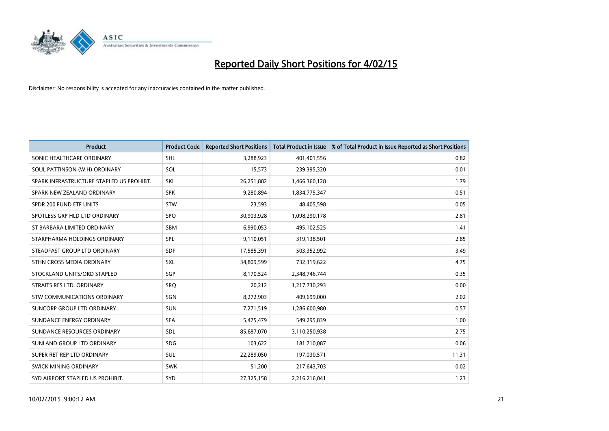

| <b>Product</b>                           | <b>Product Code</b> | <b>Reported Short Positions</b> | <b>Total Product in Issue</b> | % of Total Product in Issue Reported as Short Positions |
|------------------------------------------|---------------------|---------------------------------|-------------------------------|---------------------------------------------------------|
| SONIC HEALTHCARE ORDINARY                | <b>SHL</b>          | 3,288,923                       | 401,401,556                   | 0.82                                                    |
| SOUL PATTINSON (W.H) ORDINARY            | SOL                 | 15,573                          | 239,395,320                   | 0.01                                                    |
| SPARK INFRASTRUCTURE STAPLED US PROHIBT. | SKI                 | 26,251,882                      | 1,466,360,128                 | 1.79                                                    |
| SPARK NEW ZEALAND ORDINARY               | <b>SPK</b>          | 9,280,894                       | 1,834,775,347                 | 0.51                                                    |
| SPDR 200 FUND ETF UNITS                  | <b>STW</b>          | 23,593                          | 48,405,598                    | 0.05                                                    |
| SPOTLESS GRP HLD LTD ORDINARY            | <b>SPO</b>          | 30,903,928                      | 1,098,290,178                 | 2.81                                                    |
| ST BARBARA LIMITED ORDINARY              | <b>SBM</b>          | 6,990,053                       | 495,102,525                   | 1.41                                                    |
| STARPHARMA HOLDINGS ORDINARY             | <b>SPL</b>          | 9,110,051                       | 319,138,501                   | 2.85                                                    |
| STEADFAST GROUP LTD ORDINARY             | <b>SDF</b>          | 17,585,391                      | 503,352,992                   | 3.49                                                    |
| STHN CROSS MEDIA ORDINARY                | <b>SXL</b>          | 34,809,599                      | 732,319,622                   | 4.75                                                    |
| STOCKLAND UNITS/ORD STAPLED              | SGP                 | 8,170,524                       | 2,348,746,744                 | 0.35                                                    |
| STRAITS RES LTD. ORDINARY                | SRQ                 | 20,212                          | 1,217,730,293                 | 0.00                                                    |
| STW COMMUNICATIONS ORDINARY              | SGN                 | 8,272,903                       | 409,699,000                   | 2.02                                                    |
| SUNCORP GROUP LTD ORDINARY               | <b>SUN</b>          | 7,271,519                       | 1,286,600,980                 | 0.57                                                    |
| SUNDANCE ENERGY ORDINARY                 | <b>SEA</b>          | 5,475,479                       | 549,295,839                   | 1.00                                                    |
| SUNDANCE RESOURCES ORDINARY              | SDL                 | 85,687,070                      | 3,110,250,938                 | 2.75                                                    |
| SUNLAND GROUP LTD ORDINARY               | <b>SDG</b>          | 103,622                         | 181,710,087                   | 0.06                                                    |
| SUPER RET REP LTD ORDINARY               | <b>SUL</b>          | 22,289,050                      | 197,030,571                   | 11.31                                                   |
| SWICK MINING ORDINARY                    | <b>SWK</b>          | 51,200                          | 217,643,703                   | 0.02                                                    |
| SYD AIRPORT STAPLED US PROHIBIT.         | <b>SYD</b>          | 27,325,158                      | 2,216,216,041                 | 1.23                                                    |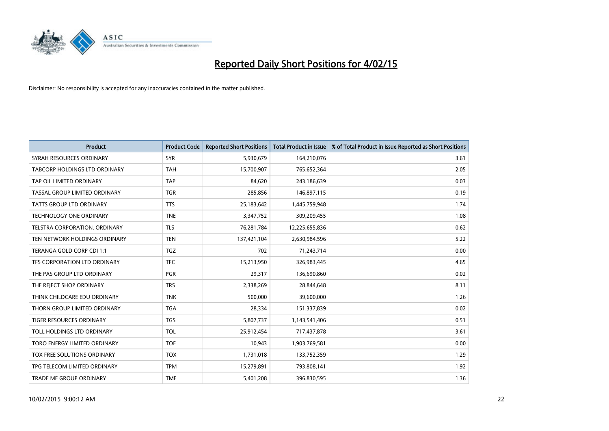

| <b>Product</b>                  | <b>Product Code</b> | <b>Reported Short Positions</b> | <b>Total Product in Issue</b> | % of Total Product in Issue Reported as Short Positions |
|---------------------------------|---------------------|---------------------------------|-------------------------------|---------------------------------------------------------|
| SYRAH RESOURCES ORDINARY        | <b>SYR</b>          | 5,930,679                       | 164,210,076                   | 3.61                                                    |
| TABCORP HOLDINGS LTD ORDINARY   | <b>TAH</b>          | 15,700,907                      | 765,652,364                   | 2.05                                                    |
| TAP OIL LIMITED ORDINARY        | <b>TAP</b>          | 84,620                          | 243,186,639                   | 0.03                                                    |
| TASSAL GROUP LIMITED ORDINARY   | <b>TGR</b>          | 285,856                         | 146,897,115                   | 0.19                                                    |
| <b>TATTS GROUP LTD ORDINARY</b> | <b>TTS</b>          | 25,183,642                      | 1,445,759,948                 | 1.74                                                    |
| <b>TECHNOLOGY ONE ORDINARY</b>  | <b>TNE</b>          | 3,347,752                       | 309,209,455                   | 1.08                                                    |
| TELSTRA CORPORATION, ORDINARY   | <b>TLS</b>          | 76,281,784                      | 12,225,655,836                | 0.62                                                    |
| TEN NETWORK HOLDINGS ORDINARY   | <b>TEN</b>          | 137,421,104                     | 2,630,984,596                 | 5.22                                                    |
| TERANGA GOLD CORP CDI 1:1       | <b>TGZ</b>          | 702                             | 71,243,714                    | 0.00                                                    |
| TFS CORPORATION LTD ORDINARY    | <b>TFC</b>          | 15,213,950                      | 326,983,445                   | 4.65                                                    |
| THE PAS GROUP LTD ORDINARY      | <b>PGR</b>          | 29,317                          | 136,690,860                   | 0.02                                                    |
| THE REJECT SHOP ORDINARY        | <b>TRS</b>          | 2,338,269                       | 28,844,648                    | 8.11                                                    |
| THINK CHILDCARE EDU ORDINARY    | <b>TNK</b>          | 500,000                         | 39,600,000                    | 1.26                                                    |
| THORN GROUP LIMITED ORDINARY    | <b>TGA</b>          | 28,334                          | 151,337,839                   | 0.02                                                    |
| TIGER RESOURCES ORDINARY        | <b>TGS</b>          | 5,807,737                       | 1,143,541,406                 | 0.51                                                    |
| TOLL HOLDINGS LTD ORDINARY      | <b>TOL</b>          | 25,912,454                      | 717,437,878                   | 3.61                                                    |
| TORO ENERGY LIMITED ORDINARY    | <b>TOE</b>          | 10,943                          | 1,903,769,581                 | 0.00                                                    |
| TOX FREE SOLUTIONS ORDINARY     | <b>TOX</b>          | 1,731,018                       | 133,752,359                   | 1.29                                                    |
| TPG TELECOM LIMITED ORDINARY    | <b>TPM</b>          | 15,279,891                      | 793,808,141                   | 1.92                                                    |
| TRADE ME GROUP ORDINARY         | <b>TME</b>          | 5,401,208                       | 396,830,595                   | 1.36                                                    |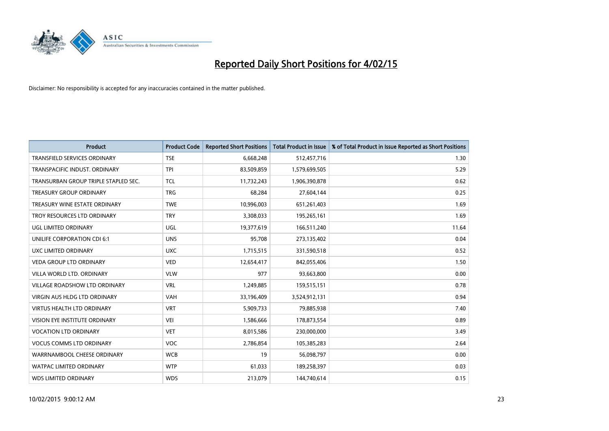

| <b>Product</b>                       | <b>Product Code</b> | <b>Reported Short Positions</b> | <b>Total Product in Issue</b> | % of Total Product in Issue Reported as Short Positions |
|--------------------------------------|---------------------|---------------------------------|-------------------------------|---------------------------------------------------------|
| <b>TRANSFIELD SERVICES ORDINARY</b>  | <b>TSE</b>          | 6,668,248                       | 512,457,716                   | 1.30                                                    |
| TRANSPACIFIC INDUST. ORDINARY        | <b>TPI</b>          | 83,509,859                      | 1,579,699,505                 | 5.29                                                    |
| TRANSURBAN GROUP TRIPLE STAPLED SEC. | TCL                 | 11,732,243                      | 1,906,390,878                 | 0.62                                                    |
| <b>TREASURY GROUP ORDINARY</b>       | <b>TRG</b>          | 68,284                          | 27,604,144                    | 0.25                                                    |
| TREASURY WINE ESTATE ORDINARY        | <b>TWE</b>          | 10,996,003                      | 651,261,403                   | 1.69                                                    |
| TROY RESOURCES LTD ORDINARY          | <b>TRY</b>          | 3,308,033                       | 195,265,161                   | 1.69                                                    |
| <b>UGL LIMITED ORDINARY</b>          | UGL                 | 19,377,619                      | 166,511,240                   | 11.64                                                   |
| UNILIFE CORPORATION CDI 6:1          | <b>UNS</b>          | 95,708                          | 273,135,402                   | 0.04                                                    |
| UXC LIMITED ORDINARY                 | <b>UXC</b>          | 1,715,515                       | 331,590,518                   | 0.52                                                    |
| <b>VEDA GROUP LTD ORDINARY</b>       | <b>VED</b>          | 12,654,417                      | 842,055,406                   | 1.50                                                    |
| VILLA WORLD LTD, ORDINARY            | <b>VLW</b>          | 977                             | 93,663,800                    | 0.00                                                    |
| <b>VILLAGE ROADSHOW LTD ORDINARY</b> | <b>VRL</b>          | 1,249,885                       | 159,515,151                   | 0.78                                                    |
| <b>VIRGIN AUS HLDG LTD ORDINARY</b>  | <b>VAH</b>          | 33,196,409                      | 3,524,912,131                 | 0.94                                                    |
| <b>VIRTUS HEALTH LTD ORDINARY</b>    | <b>VRT</b>          | 5,909,733                       | 79,885,938                    | 7.40                                                    |
| VISION EYE INSTITUTE ORDINARY        | <b>VEI</b>          | 1,586,666                       | 178,873,554                   | 0.89                                                    |
| <b>VOCATION LTD ORDINARY</b>         | <b>VET</b>          | 8,015,586                       | 230,000,000                   | 3.49                                                    |
| <b>VOCUS COMMS LTD ORDINARY</b>      | VOC                 | 2,786,854                       | 105,385,283                   | 2.64                                                    |
| WARRNAMBOOL CHEESE ORDINARY          | <b>WCB</b>          | 19                              | 56,098,797                    | 0.00                                                    |
| <b>WATPAC LIMITED ORDINARY</b>       | <b>WTP</b>          | 61,033                          | 189,258,397                   | 0.03                                                    |
| <b>WDS LIMITED ORDINARY</b>          | <b>WDS</b>          | 213,079                         | 144,740,614                   | 0.15                                                    |